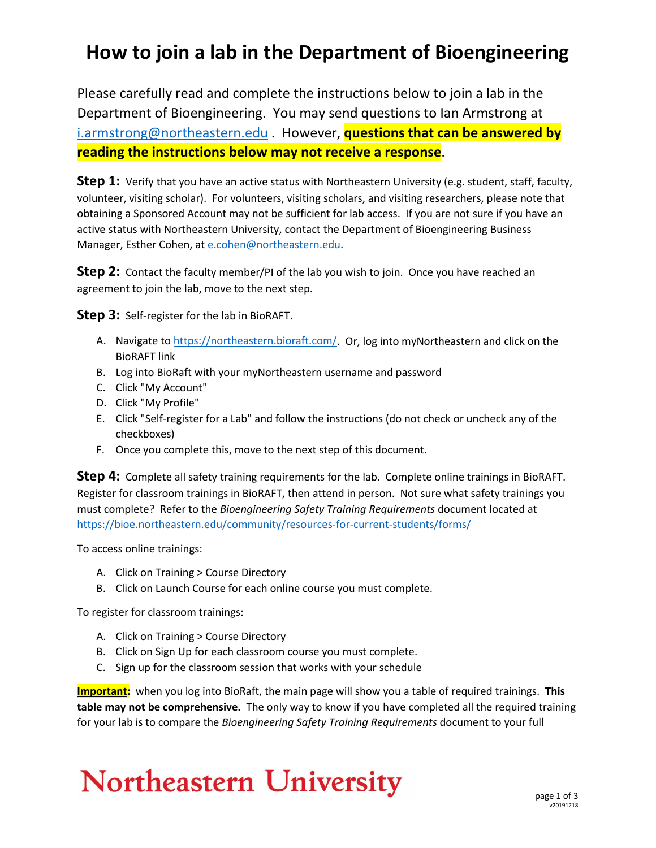#### **How to join a lab in the Department of Bioengineering**

Please carefully read and complete the instructions below to join a lab in the Department of Bioengineering. You may send questions to Ian Armstrong at [i.armstrong@northeastern.edu](mailto:i.armstrong@northeastern.edu) . However, **questions that can be answered by reading the instructions below may not receive a response**.

**Step 1:** Verify that you have an active status with Northeastern University (e.g. student, staff, faculty, volunteer, visiting scholar). For volunteers, visiting scholars, and visiting researchers, please note that obtaining a Sponsored Account may not be sufficient for lab access. If you are not sure if you have an active status with Northeastern University, contact the Department of Bioengineering Business Manager, Esther Cohen, a[t e.cohen@northeastern.edu.](mailto:e.cohen@northeastern.edu)

**Step 2:** Contact the faculty member/PI of the lab you wish to join. Once you have reached an agreement to join the lab, move to the next step.

**Step 3:** Self-register for the lab in BioRAFT.

- A. Navigate to [https://northeastern.bioraft.com/.](https://northeastern.bioraft.com/) Or, log into myNortheastern and click on the BioRAFT link
- B. Log into BioRaft with your myNortheastern username and password
- C. Click "My Account"
- D. Click "My Profile"
- E. Click "Self-register for a Lab" and follow the instructions (do not check or uncheck any of the checkboxes)
- F. Once you complete this, move to the next step of this document.

**Step 4:** Complete all safety training requirements for the lab. Complete online trainings in BioRAFT. Register for classroom trainings in BioRAFT, then attend in person. Not sure what safety trainings you must complete? Refer to the *Bioengineering Safety Training Requirements* document located at <https://bioe.northeastern.edu/community/resources-for-current-students/forms/>

To access online trainings:

- A. Click on Training > Course Directory
- B. Click on Launch Course for each online course you must complete.

To register for classroom trainings:

- A. Click on Training > Course Directory
- B. Click on Sign Up for each classroom course you must complete.
- C. Sign up for the classroom session that works with your schedule

**Important:** when you log into BioRaft, the main page will show you a table of required trainings. **This table may not be comprehensive.** The only way to know if you have completed all the required training for your lab is to compare the *Bioengineering Safety Training Requirements* document to your full

# **Northeastern University**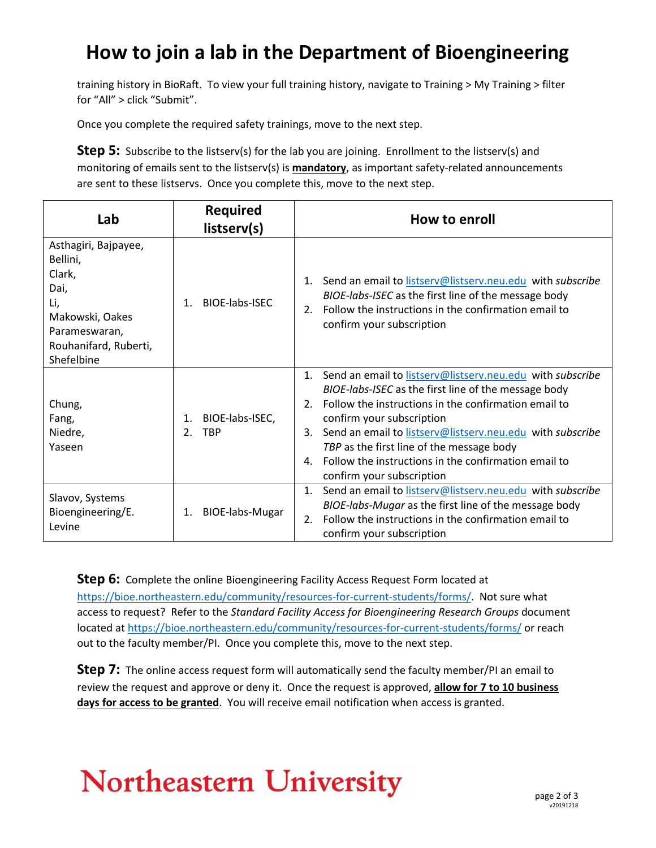### **How to join a lab in the Department of Bioengineering**

training history in BioRaft. To view your full training history, navigate to Training > My Training > filter for "All" > click "Submit".

Once you complete the required safety trainings, move to the next step.

**Step 5:** Subscribe to the listserv(s) for the lab you are joining. Enrollment to the listserv(s) and monitoring of emails sent to the listserv(s) is **mandatory**, as important safety-related announcements are sent to these listservs. Once you complete this, move to the next step.

| Lab                                                                                                                                  | <b>Required</b><br>listserv(s)                 | How to enroll                                                                                                                                                                                                                                                                                                                                                                                                                                     |
|--------------------------------------------------------------------------------------------------------------------------------------|------------------------------------------------|---------------------------------------------------------------------------------------------------------------------------------------------------------------------------------------------------------------------------------------------------------------------------------------------------------------------------------------------------------------------------------------------------------------------------------------------------|
| Asthagiri, Bajpayee,<br>Bellini,<br>Clark,<br>Dai,<br>Li,<br>Makowski, Oakes<br>Parameswaran,<br>Rouhanifard, Ruberti,<br>Shefelbine | BIOE-labs-ISEC<br>$\mathbf{1}$                 | 1. Send an email to listserv@listserv.neu.edu with subscribe<br>BIOE-labs-ISEC as the first line of the message body<br>Follow the instructions in the confirmation email to<br>2 <sub>1</sub><br>confirm your subscription                                                                                                                                                                                                                       |
| Chung,<br>Fang,<br>Niedre,<br>Yaseen                                                                                                 | BIOE-labs-ISEC,<br>$1_{-}$<br><b>TBP</b><br>2. | Send an email to listserv@listserv.neu.edu with subscribe<br>1 <sup>1</sup><br>BIOE-labs-ISEC as the first line of the message body<br>Follow the instructions in the confirmation email to<br>$2^{\circ}$<br>confirm your subscription<br>Send an email to listserv@listserv.neu.edu with subscribe<br>3.<br>TBP as the first line of the message body<br>Follow the instructions in the confirmation email to<br>4<br>confirm your subscription |
| Slavov, Systems<br>Bioengineering/E.<br>Levine                                                                                       | <b>BIOE-labs-Mugar</b><br>1.                   | Send an email to listserv@listserv.neu.edu with subscribe<br>$\mathbf{1}$ .<br>BIOE-labs-Mugar as the first line of the message body<br>Follow the instructions in the confirmation email to<br>2.<br>confirm your subscription                                                                                                                                                                                                                   |

**Step 6:** Complete the online Bioengineering Facility Access Request Form located at [https://bioe.northeastern.edu/community/resources-for-current-students/forms/.](https://bioe.northeastern.edu/community/resources-for-current-students/forms/) Not sure what access to request? Refer to the *Standard Facility Access for Bioengineering Research Groups* document located at <https://bioe.northeastern.edu/community/resources-for-current-students/forms/> or reach out to the faculty member/PI. Once you complete this, move to the next step.

**Step 7:** The online access request form will automatically send the faculty member/PI an email to review the request and approve or deny it. Once the request is approved, **allow for 7 to 10 business days for access to be granted**. You will receive email notification when access is granted.

# **Northeastern University**